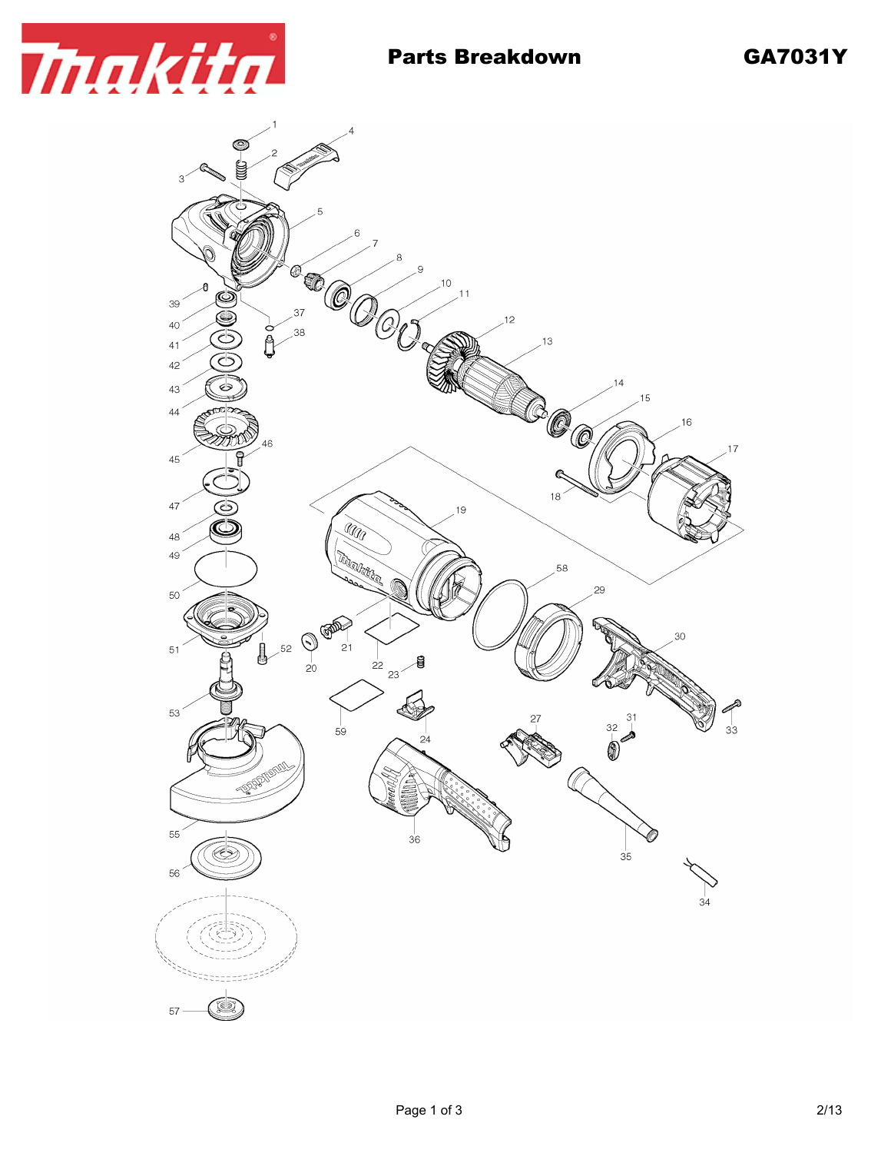

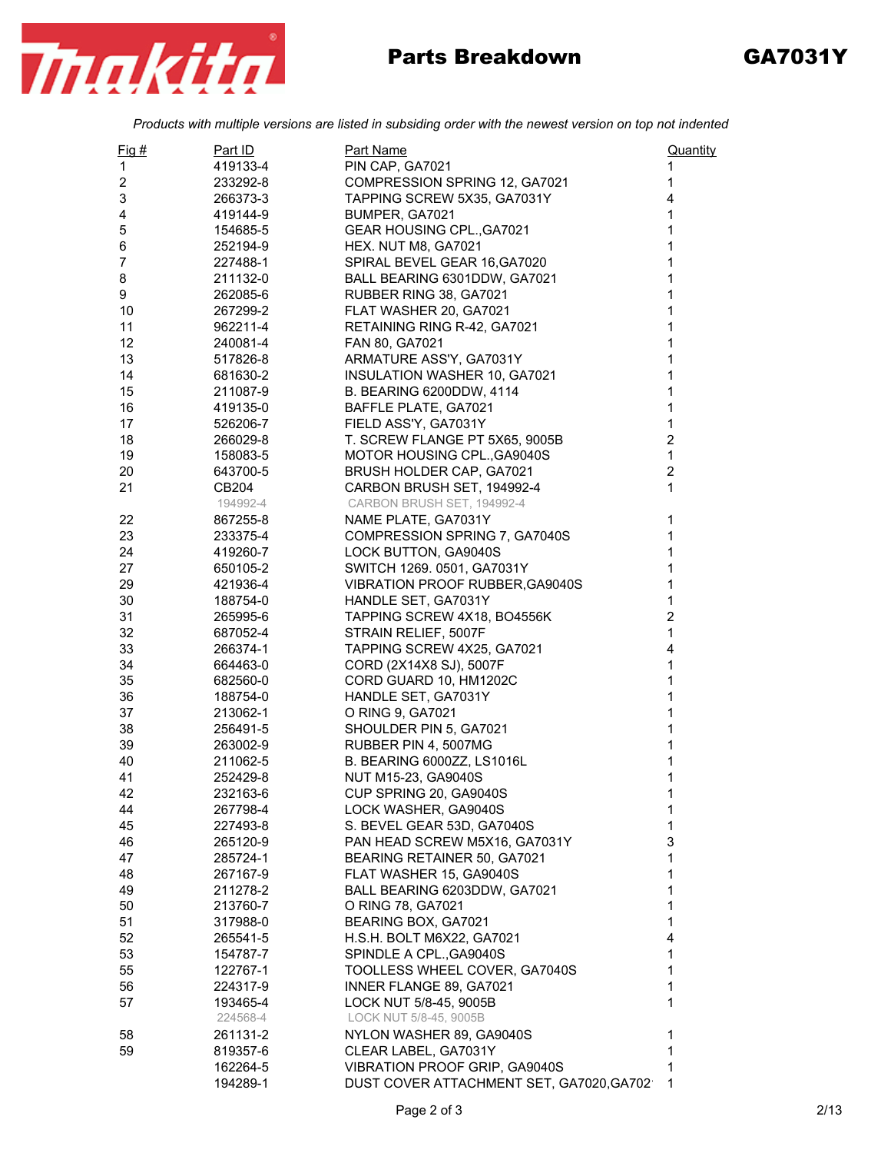

## Parts Breakdown GA7031Y

*Products with multiple versions are listed in subsiding order with the newest version on top not indented*

| $Fig. \#$ | Part ID  | Part Name                                          | Quantity       |
|-----------|----------|----------------------------------------------------|----------------|
| 1         | 419133-4 | PIN CAP, GA7021                                    | 1              |
| 2         | 233292-8 | COMPRESSION SPRING 12, GA7021                      | 1              |
| 3         | 266373-3 | TAPPING SCREW 5X35, GA7031Y                        | 4              |
| 4         | 419144-9 | BUMPER, GA7021                                     | 1              |
| 5         | 154685-5 | GEAR HOUSING CPL., GA7021                          | 1              |
| 6         | 252194-9 | HEX. NUT M8, GA7021                                | 1              |
| 7         | 227488-1 | SPIRAL BEVEL GEAR 16, GA7020                       | 1              |
| 8         | 211132-0 | BALL BEARING 6301DDW, GA7021                       | 1              |
| 9         | 262085-6 | RUBBER RING 38, GA7021                             | 1              |
| 10        | 267299-2 | FLAT WASHER 20, GA7021                             | 1              |
| 11        | 962211-4 | RETAINING RING R-42, GA7021                        | 1              |
| 12        | 240081-4 | FAN 80, GA7021                                     | 1              |
| 13        | 517826-8 | ARMATURE ASS'Y, GA7031Y                            | 1              |
| 14        | 681630-2 | INSULATION WASHER 10, GA7021                       | 1              |
| 15        | 211087-9 | B. BEARING 6200DDW, 4114                           | 1              |
| 16        | 419135-0 | BAFFLE PLATE, GA7021                               | 1              |
| 17        | 526206-7 | FIELD ASS'Y, GA7031Y                               | $\mathbf 1$    |
| 18        | 266029-8 | T. SCREW FLANGE PT 5X65, 9005B                     | $\overline{c}$ |
| 19        | 158083-5 | MOTOR HOUSING CPL., GA9040S                        | $\mathbf{1}$   |
| 20        | 643700-5 | BRUSH HOLDER CAP, GA7021                           | $\overline{c}$ |
| 21        | CB204    | CARBON BRUSH SET, 194992-4                         | $\mathbf{1}$   |
|           | 194992-4 | CARBON BRUSH SET, 194992-4                         |                |
| 22        | 867255-8 | NAME PLATE, GA7031Y                                | $\mathbf 1$    |
| 23        | 233375-4 | COMPRESSION SPRING 7, GA7040S                      | 1              |
| 24        | 419260-7 | LOCK BUTTON, GA9040S                               | 1              |
| 27        | 650105-2 | SWITCH 1269. 0501, GA7031Y                         | 1              |
| 29        | 421936-4 | <b>VIBRATION PROOF RUBBER, GA9040S</b>             | 1              |
| 30        | 188754-0 | HANDLE SET, GA7031Y                                | 1              |
| 31        | 265995-6 | TAPPING SCREW 4X18, BO4556K                        | $\overline{2}$ |
| 32        | 687052-4 | STRAIN RELIEF, 5007F                               | $\mathbf{1}$   |
| 33        | 266374-1 | TAPPING SCREW 4X25, GA7021                         | 4              |
| 34        | 664463-0 | CORD (2X14X8 SJ), 5007F                            | $\mathbf 1$    |
| 35        | 682560-0 | CORD GUARD 10, HM1202C                             | 1              |
| 36        | 188754-0 | HANDLE SET, GA7031Y                                | 1              |
| 37        | 213062-1 | O RING 9, GA7021                                   | 1              |
| 38        | 256491-5 | SHOULDER PIN 5, GA7021                             | 1              |
| 39        | 263002-9 | RUBBER PIN 4, 5007MG                               | 1              |
| 40        | 211062-5 | <b>B. BEARING 6000ZZ, LS1016L</b>                  | 1              |
| 41        | 252429-8 |                                                    | 1              |
| 42        |          | NUT M15-23, GA9040S<br>CUP SPRING 20, GA9040S      |                |
|           | 232163-6 |                                                    | 1              |
| 44<br>45  | 267798-4 | LOCK WASHER, GA9040S<br>S. BEVEL GEAR 53D, GA7040S | 1<br>1         |
|           | 227493-8 |                                                    |                |
| 46        | 265120-9 | PAN HEAD SCREW M5X16, GA7031Y                      | 3              |
| 47        | 285724-1 | BEARING RETAINER 50, GA7021                        | 1              |
| 48        | 267167-9 | FLAT WASHER 15, GA9040S                            | 1              |
| 49        | 211278-2 | BALL BEARING 6203DDW, GA7021                       | 1              |
| 50        | 213760-7 | O RING 78, GA7021                                  | 1              |
| 51        | 317988-0 | BEARING BOX, GA7021                                | 1              |
| 52        | 265541-5 | H.S.H. BOLT M6X22, GA7021                          | 4              |
| 53        | 154787-7 | SPINDLE A CPL., GA9040S                            | 1              |
| 55        | 122767-1 | TOOLLESS WHEEL COVER, GA7040S                      | 1              |
| 56        | 224317-9 | INNER FLANGE 89, GA7021                            | 1              |
| 57        | 193465-4 | LOCK NUT 5/8-45, 9005B                             | 1              |
|           | 224568-4 | LOCK NUT 5/8-45, 9005B                             |                |
| 58        | 261131-2 | NYLON WASHER 89, GA9040S                           | 1              |
| 59        | 819357-6 | CLEAR LABEL, GA7031Y                               | 1              |
|           | 162264-5 | VIBRATION PROOF GRIP, GA9040S                      | 1              |
|           | 194289-1 | DUST COVER ATTACHMENT SET, GA7020, GA702           | 1              |